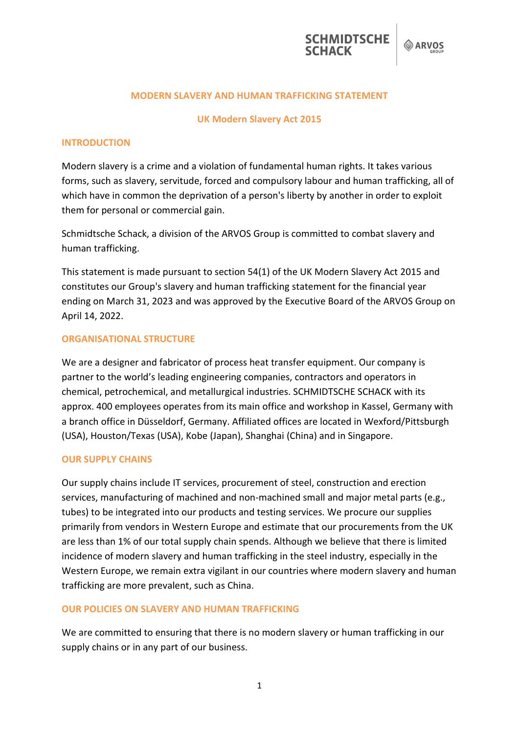

#### **MODERN SLAVERY AND HUMAN TRAFFICKING STATEMENT**

#### **UK Modern Slavery Act 2015**

### **INTRODUCTION**

Modern slavery is a crime and a violation of fundamental human rights. It takes various forms, such as slavery, servitude, forced and compulsory labour and human trafficking, all of which have in common the deprivation of a person's liberty by another in order to exploit them for personal or commercial gain.

Schmidtsche Schack, a division of the ARVOS Group is committed to combat slavery and human trafficking.

This statement is made pursuant to section 54(1) of the UK Modern Slavery Act 2015 and constitutes our Group's slavery and human trafficking statement for the financial year ending on March 31, 2023 and was approved by the Executive Board of the ARVOS Group on April 14, 2022.

#### **ORGANISATIONAL STRUCTURE**

We are a designer and fabricator of process heat transfer equipment. Our company is partner to the world's leading engineering companies, contractors and operators in chemical, petrochemical, and metallurgical industries. SCHMIDTSCHE SCHACK with its approx. 400 employees operates from its main office and workshop in Kassel, Germany with a branch office in Düsseldorf, Germany. Affiliated offices are located in Wexford/Pittsburgh (USA), Houston/Texas (USA), Kobe (Japan), Shanghai (China) and in Singapore.

### **OUR SUPPLY CHAINS**

Our supply chains include IT services, procurement of steel, construction and erection services, manufacturing of machined and non-machined small and major metal parts (e.g., tubes) to be integrated into our products and testing services. We procure our supplies primarily from vendors in Western Europe and estimate that our procurements from the UK are less than 1% of our total supply chain spends. Although we believe that there is limited incidence of modern slavery and human trafficking in the steel industry, especially in the Western Europe, we remain extra vigilant in our countries where modern slavery and human trafficking are more prevalent, such as China.

### **OUR POLICIES ON SLAVERY AND HUMAN TRAFFICKING**

We are committed to ensuring that there is no modern slavery or human trafficking in our supply chains or in any part of our business.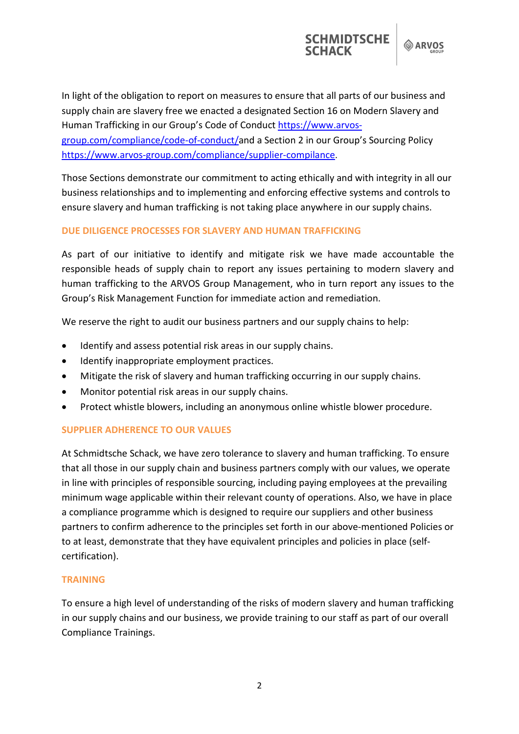**SCHMIDTSCHE** 

In light of the obligation to report on measures to ensure that all parts of our business and supply chain are slavery free we enacted a designated Section 16 on Modern Slavery and Human Trafficking in our Group's Code of Conduct [https://www.arvos](https://www.arvos-group.com/compliance/code-of-conduct/)[group.com/compliance/code-of-conduct/a](https://www.arvos-group.com/compliance/code-of-conduct/)nd a Section 2 in our Group's Sourcing Policy [https://www.arvos-group.com/compliance/supplier-compilance.](https://www.arvos-group.com/compliance/supplier-compilance)

Those Sections demonstrate our commitment to acting ethically and with integrity in all our business relationships and to implementing and enforcing effective systems and controls to ensure slavery and human trafficking is not taking place anywhere in our supply chains.

# **DUE DILIGENCE PROCESSES FOR SLAVERY AND HUMAN TRAFFICKING**

As part of our initiative to identify and mitigate risk we have made accountable the responsible heads of supply chain to report any issues pertaining to modern slavery and human trafficking to the ARVOS Group Management, who in turn report any issues to the Group's Risk Management Function for immediate action and remediation.

We reserve the right to audit our business partners and our supply chains to help:

- Identify and assess potential risk areas in our supply chains.
- Identify inappropriate employment practices.
- Mitigate the risk of slavery and human trafficking occurring in our supply chains.
- Monitor potential risk areas in our supply chains.
- Protect whistle blowers, including an anonymous online whistle blower procedure.

# **SUPPLIER ADHERENCE TO OUR VALUES**

At Schmidtsche Schack, we have zero tolerance to slavery and human trafficking. To ensure that all those in our supply chain and business partners comply with our values, we operate in line with principles of responsible sourcing, including paying employees at the prevailing minimum wage applicable within their relevant county of operations. Also, we have in place a compliance programme which is designed to require our suppliers and other business partners to confirm adherence to the principles set forth in our above-mentioned Policies or to at least, demonstrate that they have equivalent principles and policies in place (selfcertification).

# **TRAINING**

To ensure a high level of understanding of the risks of modern slavery and human trafficking in our supply chains and our business, we provide training to our staff as part of our overall Compliance Trainings.